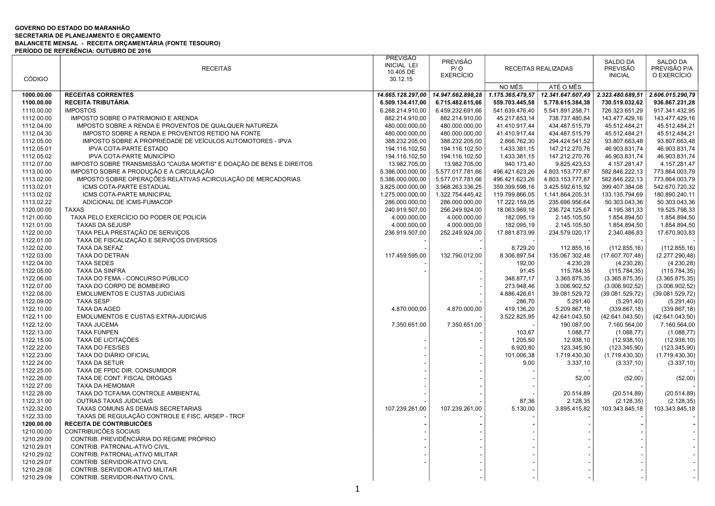## GOVERNO DO ESTADO DO MARANHÃO SECRETARIA DE PLANEJAMENTO E ORÇAMENTO BALANCETE MENSAL - RECEITA ORÇAMENTÁRIA (FONTE TESOURO) PERÍODO DE REFERÊNCIA: OUTUBRO DE 2016

|               |                                                                      | <b>PREVISÃO</b>    | <b>PREVISÃO</b>   |                |                                      | <b>SALDO DA</b>  | <b>SALDO DA</b>  |
|---------------|----------------------------------------------------------------------|--------------------|-------------------|----------------|--------------------------------------|------------------|------------------|
|               | <b>RECEITAS</b>                                                      | <b>INICIAL LEI</b> | P/O               |                | RECEITAS REALIZADAS                  | <b>PREVISÃO</b>  | PREVISÃO P/A     |
|               |                                                                      | 10.405 DE          | <b>EXERCÍCIO</b>  |                |                                      | <b>INICIAL</b>   | O EXERCÍCIO      |
| <b>CÓDIGO</b> |                                                                      | 30.12.15           |                   |                |                                      |                  |                  |
|               |                                                                      |                    |                   | NO MÊS         | ATÉ O MÊS                            |                  |                  |
| 1000.00.00    | <b>RECEITAS CORRENTES</b>                                            | 14.665.128.297,00  | 14.947.662.898,28 |                | 1.175.365.479,57   12.341.647.607,49 | 2.323.480.689,51 | 2.606.015.290,79 |
| 1100.00.00    | <b>RECEITA TRIBUTÁRIA</b>                                            | 6.509.134.417,00   | 6.715.482.615,66  | 559.703.445,58 | 5.778.615.384,38                     | 730.519.032,62   | 936.867.231,28   |
| 1110.00.00    | <b>IMPOSTOS</b>                                                      | 6.268.214.910,00   | 6.459.232.691,66  | 541.639.476,40 | 5.541.891.258,71                     | 726.323.651,29   | 917.341.432,95   |
| 1112.00.00    | IMPOSTO SOBRE O PATRIMONIO E ARENDA                                  | 882.214.910,00     | 882.214.910,00    | 45.217.853,14  | 738.737.480,84                       | 143.477.429,16   | 143.477.429,16   |
|               |                                                                      |                    |                   |                |                                      |                  |                  |
| 1112.04.00    | IMPOSTO SOBRE A RENDA E PROVENTOS DE QUALQUER NATUREZA               | 480.000.000,00     | 480.000.000,00    | 41.410.917,44  | 434.487.515,79                       | 45.512.484,21    | 45.512.484,21    |
| 1112.04.30    | IMPOSTO SOBRE A RENDA E PROVENTOS RETIDO NA FONTE                    | 480.000.000,00     | 480.000.000,00    | 41.410.917,44  | 434.487.515,79                       | 45.512.484,21    | 45.512.484,21    |
| 1112.05.00    | IMPOSTO SOBRE A PROPRIEDADE DE VEÍCULOS AUTOMOTORES - IPVA           | 388.232.205,00     | 388.232.205,00    | 2.866.762,30   | 294.424.541,52                       | 93.807.663,48    | 93.807.663,48    |
| 1112.05.01    | <b>IPVA COTA-PARTE ESTADO</b>                                        | 194.116.102,50     | 194.116.102,50    | 1.433.381,15   | 147.212.270,76                       | 46.903.831,74    | 46.903.831,74    |
| 1112.05.02    | IPVA COTA-PARTE MUNICÍPIO                                            | 194.116.102,50     | 194.116.102,50    | 1.433.381,15   | 147.212.270,76                       | 46.903.831,74    | 46.903.831,74    |
| 1112.07.00    | IMPOSTO SOBRE TRANSMISSÃO "CAUSA MORTIS" E DOAÇÃO DE BENS E DIREITOS | 13.982.705,00      | 13.982.705,00     | 940.173,40     | 9.825.423,53                         | 4.157.281,47     | 4.157.281,47     |
| 1113.00.00    | IMPOSTO SOBRE A PRODUÇÃO E A CIRCULAÇÃO                              | 5.386.000.000,00   | 5.577.017.781,66  | 496.421.623,26 | 4.803.153.777,87                     | 582.846.222,13   | 773.864.003,79   |
| 1113.02.00    | IMPOSTO SOBRE OPERAÇÕES RELATIVAS ACIRCULAÇÃO DE MERCADORIAS         | 5.386.000.000,00   | 5.577.017.781,66  | 496.421.623,26 | 4.803.153.777,87                     | 582.846.222,13   | 773.864.003,79   |
| 1113.02.01    | ICMS COTA-PARTE ESTADUAL                                             | 3.825.000.000,00   | 3.968.263.336,25  | 359.399.598,16 | 3.425.592.615,92                     | 399.407.384,08   | 542.670.720,32   |
| 1113.02.02    | ICMS COTA-PARTE MUNICIPAL                                            | 1.275.000.000,00   | 1.322.754.445,42  | 119.799.866,05 | 1.141.864.205,31                     | 133.135.794,69   | 180.890.240,11   |
| 1113.02.22    | ADICIONAL DE ICMS-FUMACOP                                            | 286.000.000,00     | 286.000.000,00    | 17.222.159,05  | 235.696.956,64                       | 50.303.043,36    | 50.303.043,36    |
| 1120.00.00    | <b>TAXAS</b>                                                         | 240.919.507,00     | 256.249.924,00    | 18.063.969,18  | 236.724.125,67                       | 4.195.381,33     | 19.525.798,33    |
| 1121.00.00    | TAXA PELO EXERCÍCIO DO PODER DE POLICÍA                              | 4.000.000,00       | 4.000.000,00      | 182.095,19     | 2.145.105,50                         | 1.854.894,50     | 1.854.894,50     |
|               | <b>TAXAS DA SEJUSP</b>                                               | 4.000.000,00       |                   | 182.095,19     |                                      |                  |                  |
| 1121.01.00    |                                                                      |                    | 4.000.000,00      |                | 2.145.105,50                         | 1.854.894,50     | 1.854.894,50     |
| 1122.00.00    | TAXA PELA PRESTAÇÃO DE SERVIÇOS                                      | 236.919.507,00     | 252.249.924,00    | 17.881.873,99  | 234.579.020,17                       | 2.340.486,83     | 17.670.903,83    |
| 1122.01.00    | TAXA DE FISCALIZAÇÃO E SERVIÇOS DIVERSOS                             |                    |                   |                |                                      |                  |                  |
| 1122.02.00    | TAXA DA SEFAZ                                                        |                    |                   | 8.729,20       | 112.855,16                           | (112.855, 16)    | (112.855, 16)    |
| 1122.03.00    | TAXA DO DETRAN                                                       | 117.459.595,00     | 132.790.012,00    | 8.306.897,54   | 135.067.302,48                       | (17.607.707, 48) | (2.277.290,48)   |
| 1122.04.00    | <b>TAXA SEDES</b>                                                    |                    |                   | 192,00         | 4.230,28                             | (4.230, 28)      | (4.230, 28)      |
| 1122.05.00    | TAXA DA SINFRA                                                       |                    |                   | 91,45          | 115.784,35                           | (115.784, 35)    | (115.784, 35)    |
| 1122.06.00    | TAXA DO FEMA - CONCURSO PÚBLICO                                      |                    |                   | 348.877,17     | 3.365.875,35                         | (3.365.875, 35)  | (3.365.875, 35)  |
| 1122.07.00    | TAXA DO CORPO DE BOMBEIRO                                            |                    |                   | 273.948,46     | 3.006.902,52                         | (3.006.902, 52)  | (3.006.902, 52)  |
| 1122.08.00    | <b>EMOLUMENTOS E CUSTAS JUDICIAIS</b>                                |                    |                   | 4.886.426,61   | 39.081.529,72                        | (39.081.529, 72) | (39.081.529, 72) |
| 1122.09.00    | <b>TAXA SESP</b>                                                     |                    |                   | 286,70         | 5.291,40                             | (5.291, 40)      | (5.291, 40)      |
| 1122.10.00    | TAXA DA AGED                                                         | 4.870.000.00       | 4.870.000,00      | 419.136,20     | 5.209.867,18                         | (339.867, 18)    | (339.867, 18)    |
| 1122.11.00    | EMOLUMENTOS E CUSTAS EXTRA-JUDICIAIS                                 |                    |                   | 3.522.825,95   | 42.641.043,50                        | (42.641.043,50)  | (42.641.043,50)  |
| 1122.12.00    | <b>TAXA JUCEMA</b>                                                   | 7.350.651,00       | 7.350.651,00      |                | 190.087,00                           | 7.160.564,00     | 7.160.564,00     |
| 1122.13.00    | <b>TAXA FUNPEN</b>                                                   |                    |                   | 103,67         | 1.088,77                             | (1.088, 77)      | (1.088, 77)      |
| 1122.15.00    | TAXA DE LICITAÇÕES                                                   |                    |                   | 1.205,50       | 12.938,10                            | (12.938, 10)     | (12.938, 10)     |
| 1122.22.00    | <b>TAXA DO FES/SES</b>                                               |                    |                   | 6.920,80       | 123.345,90                           | (123.345,90)     | (123.345,90)     |
|               |                                                                      |                    |                   |                |                                      |                  |                  |
| 1122.23.00    | TAXA DO DIÁRIO OFICIAL                                               |                    |                   | 101.006,38     | 1.719.430,30                         | (1.719.430, 30)  | (1.719.430,30)   |
| 1122.24.00    | <b>TAXA DA SETUR</b>                                                 |                    |                   | 9,00           | 3.337,10                             | (3.337, 10)      | (3.337, 10)      |
| 1122.25.00    | TAXA DE FPDC DIR. CONSUMIDOR                                         |                    |                   |                |                                      |                  |                  |
| 1122.26.00    | TAXA DE CONT. FISCAL DROGAS                                          |                    |                   |                | 52,00                                | (52,00)          | (52,00)          |
| 1122.27.00    | TAXA DA HEMOMAR                                                      |                    |                   |                |                                      |                  |                  |
| 1122.28.00    | TAXA DO TCFA/MA CONTROLE AMBIENTAL                                   |                    |                   |                | 20.514,89                            | (20.514, 89)     | (20.514, 89)     |
| 1122.31.00    | <b>OUTRAS TAXAS JUDICIAIS</b>                                        |                    |                   | 87,36          | 2.128,35                             | (2.128, 35)      | (2.128, 35)      |
| 1122.32.00    | TAXAS COMUNS ÀS DEMAIS SECRETARIAS                                   | 107.239.261,00     | 107.239.261,00    | 5.130,00       | 3.895.415,82                         | 103.343.845,18   | 103.343.845,18   |
| 1122.33.00    | TAXAS DE REGULAÇÃO CONTROLE E FISC. ARSEP - TRCF                     |                    |                   |                |                                      |                  |                  |
| 1200.00.00    | RECEITA DE CONTRIBUICÕES                                             |                    |                   |                |                                      |                  |                  |
| 1210.00.00    | CONTRIBUICÕES SOCIAIS                                                |                    |                   |                |                                      |                  |                  |
| 1210.29.00    | CONTRIB. PREVIDÊNCIÁRIA DO REGIME PRÓPRIO                            |                    |                   |                |                                      |                  |                  |
| 1210.29.01    | CONTRIB. PATRONAL-ATIVO CIVIL                                        |                    |                   |                |                                      |                  |                  |
| 1210.29.02    | CONTRIB. PATRONAL-ATIVO MILITAR                                      |                    |                   |                |                                      |                  |                  |
| 1210.29.07    | CONTRIB. SERVIDOR-ATIVO CIVIL                                        |                    |                   |                |                                      |                  |                  |
| 1210.29.08    | CONTRIB. SERVIDOR-ATIVO MILITAR                                      |                    |                   |                |                                      |                  |                  |
| 1210.29.09    | CONTRIB. SERVIDOR-INATIVO CIVIL                                      |                    |                   |                |                                      |                  |                  |
|               |                                                                      |                    |                   |                |                                      |                  |                  |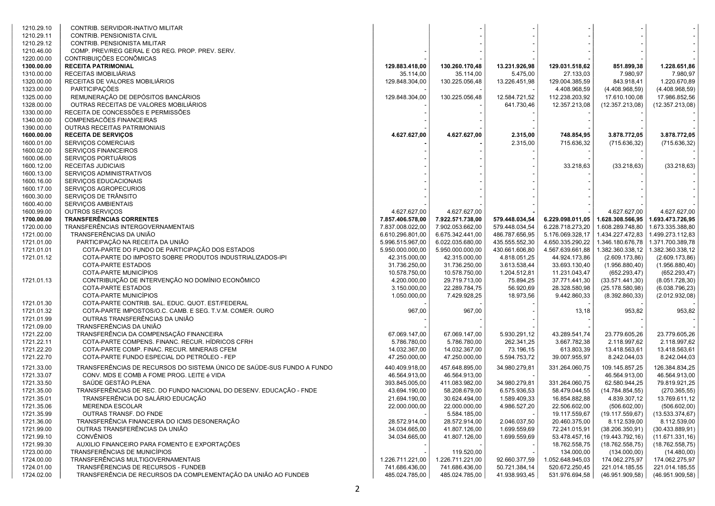| 1210.29.10               | CONTRIB. SERVIDOR-INATIVO MILITAR                                      |                                |                                |                               |                                |                                 |                                 |
|--------------------------|------------------------------------------------------------------------|--------------------------------|--------------------------------|-------------------------------|--------------------------------|---------------------------------|---------------------------------|
| 1210.29.11               | CONTRIB. PENSIONISTA CIVIL                                             |                                |                                |                               |                                |                                 |                                 |
| 1210.29.12               | CONTRIB. PENSIONISTA MILITAR                                           |                                |                                |                               |                                |                                 |                                 |
| 1210.46.00               | COMP. PREV/REG GERAL E OS REG. PROP. PREV. SERV.                       |                                |                                |                               |                                |                                 |                                 |
| 1220.00.00               | CONTRIBUIÇÕES ECONÔMICAS                                               |                                |                                |                               |                                |                                 |                                 |
| 1300.00.00               | <b>RECEITA PATRIMONIAL</b>                                             | 129.883.418,00                 | 130.260.170,48                 | 13.231.926,98                 | 129.031.518,62                 | 851.899,38                      | 1.228.651,86                    |
| 1310.00.00               | RECEITAS IMOBILIÁRIAS                                                  | 35.114,00                      | 35.114,00                      | 5.475,00                      | 27.133,03                      | 7.980,97                        | 7.980,97                        |
| 1320.00.00               | RECEITAS DE VALORES MOBILIÁRIOS                                        | 129.848.304,00                 | 130.225.056,48                 | 13.226.451,98                 | 129.004.385,59                 | 843.918,41                      | 1.220.670,89                    |
| 1323.00.00               | PARTICIPAÇÕES                                                          |                                |                                |                               | 4.408.968,59                   | (4.408.968,59)                  | (4.408.968, 59)                 |
| 1325.00.00               | REMUNERAÇÃO DE DEPÓSITOS BANCÁRIOS                                     | 129.848.304,00                 | 130.225.056,48                 | 12.584.721,52                 | 112.238.203,92                 | 17.610.100,08                   | 17.986.852,56                   |
| 1328.00.00               | OUTRAS RECEITAS DE VALORES MOBILIÁRIOS                                 |                                |                                | 641.730,46                    | 12.357.213,08                  | (12.357.213,08)                 | (12.357.213,08)                 |
| 1330.00.00               | RECEITA DE CONCESSÕES E PERMISSÕES                                     |                                |                                |                               |                                |                                 |                                 |
| 1340.00.00               | COMPENSACÕES FINANCEIRAS                                               |                                |                                |                               |                                |                                 |                                 |
| 1390.00.00               | OUTRAS RECEITAS PATRIMONIAIS                                           |                                |                                |                               |                                |                                 |                                 |
| 1600.00.00               | <b>RECEITA DE SERVIÇOS</b>                                             | 4.627.627,00                   | 4.627.627,00                   | 2.315,00                      | 748.854,95                     | 3.878.772,05                    | 3.878.772,05                    |
| 1600.01.00               | SERVIÇOS COMERCIAIS                                                    |                                |                                | 2.315,00                      | 715.636,32                     | (715.636, 32)                   | (715.636, 32)                   |
| 1600.02.00               | SERVIÇOS FINANCEIROS                                                   |                                |                                |                               |                                |                                 |                                 |
| 1600.06.00               | SERVIÇOS PORTUÁRIOS                                                    |                                |                                |                               |                                |                                 |                                 |
| 1600.12.00               | RECEITAS JUDICIAIS                                                     |                                |                                |                               | 33.218,63                      | (33.218, 63)                    | (33.218, 63)                    |
| 1600.13.00               | SERVIÇOS ADMINISTRATIVOS                                               |                                |                                |                               |                                |                                 |                                 |
| 1600.16.00               | SERVIÇOS EDUCACIONAIS                                                  |                                |                                |                               |                                |                                 |                                 |
| 1600.17.00               | SERVIÇOS AGROPECURIOS                                                  |                                |                                |                               |                                |                                 |                                 |
| 1600.30.00               | SERVIÇOS DE TRÂNSITO                                                   |                                |                                |                               |                                |                                 |                                 |
| 1600.40.00               | SERVIÇOS AMBIENTAIS                                                    | 4.627.627,00                   | 4.627.627.00                   |                               |                                | 4.627.627.00                    | 4.627.627,00                    |
| 1600.99.00<br>1700.00.00 | OUTROS SERVIÇOS<br>TRANSFERÊNCIAS CORRENTES                            | 7.857.406.578,00               | 7.922.571.738,00               | 579.448.034,54                | 6.229.098.011,05               | 1.628.308.566,95                | 1.693.473.726,95                |
| 1720.00.00               | TRANSFERÊNCIAS INTERGOVERNAMENTAIS                                     | 7.837.008.022,00               | 7.902.053.662,00               | 579.448.034,54                | 6.228.718.273,20               | 1.608.289.748,80                | 1.673.335.388,80                |
| 1721.00.00               | TRANSFERÊNCIAS DA UNIÃO                                                | 6.610.296.801,00               | 6.675.342.441,00               | 486.787.656,95                | 5.176.069.328,17               | 1.434.227.472,83                | 1.499.273.112,83                |
| 1721.01.00               | PARTICIPAÇÃO NA RECEITA DA UNIÃO                                       | 5.996.515.967,00               | 6.022.035.680,00               | 435.555.552,30                | 4.650.335.290,22               | 1.346.180.676,78                | 1.371.700.389,78                |
| 1721.01.01               | COTA-PARTE DO FUNDO DE PARTICIPAÇÃO DOS ESTADOS                        | 5.950.000.000,00               | 5.950.000.000,00               | 430.661.606,80                | 4.567.639.661,88               | 1.382.360.338,12                | 1.382.360.338,12                |
| 1721.01.12               | COTA-PARTE DO IMPOSTO SOBRE PRODUTOS INDUSTRIALIZADOS-IPI              | 42.315.000,00                  | 42.315.000,00                  | 4.818.051,25                  | 44.924.173,86                  | (2.609.173,86)                  | (2.609.173, 86)                 |
|                          | <b>COTA-PARTE ESTADOS</b>                                              | 31.736.250,00                  | 31.736.250,00                  | 3.613.538,44                  | 33.693.130,40                  | (1.956.880, 40)                 | (1.956.880, 40)                 |
|                          | COTA-PARTE MUNICÍPIOS                                                  | 10.578.750,00                  | 10.578.750,00                  | 1.204.512,81                  | 11.231.043,47                  | (652.293, 47)                   | (652.293, 47)                   |
| 1721.01.13               | CONTRIBUIÇÃO DE INTERVENÇÃO NO DOMÍNIO ECONÔMICO                       | 4.200.000,00                   | 29.719.713,00                  | 75.894,25                     | 37.771.441,30                  | (33.571.441,30)                 | (8.051.728, 30)                 |
|                          | COTA-PARTE ESTADOS                                                     | 3.150.000,00                   | 22.289.784,75                  | 56.920,69                     | 28.328.580,98                  | (25.178.580,98)                 | (6.038.796, 23)                 |
|                          | COTA-PARTE MUNICÍPIOS                                                  | 1.050.000,00                   | 7.429.928,25                   | 18.973,56                     | 9.442.860,33                   | (8.392.860, 33)                 | (2.012.932,08)                  |
| 1721.01.30               | COTA-PARTE CONTRIB. SAL. EDUC. QUOT. EST/FEDERAL                       |                                |                                |                               |                                |                                 |                                 |
| 1721.01.32               | COTA-PARTE IMPOSTOS/O.C. CAMB. E SEG. T.V.M. COMER. OURO               | 967,00                         | 967,00                         |                               | 13,18                          | 953,82                          | 953,82                          |
| 1721.01.99               | OUTRAS TRANSFERÊNCIAS DA UNIÃO                                         |                                |                                |                               |                                |                                 |                                 |
| 1721.09.00               | TRANSFERÊNCIAS DA UNIÃO                                                |                                |                                |                               |                                |                                 |                                 |
| 1721.22.00               | TRANSFERÊNCIA DA COMPENSAÇÃO FINANCEIRA                                | 67.069.147,00                  | 67.069.147,00                  | 5.930.291,12                  | 43.289.541,74                  | 23.779.605,26                   | 23.779.605,26                   |
| 1721.22.11               | COTA-PARTE COMPENS. FINANC. RECUR. HÍDRICOS CFRH                       | 5.786.780,00                   | 5.786.780,00                   | 262.341,25                    | 3.667.782,38                   | 2.118.997,62                    | 2.118.997,62                    |
| 1721.22.20               | COTA-PARTE COMP. FINAC. RECUR. MINERAIS CFEM                           | 14.032.367,00                  | 14.032.367,00                  | 73.196,15                     | 613.803,39                     | 13.418.563,61                   | 13.418.563,61                   |
| 1721.22.70               | COTA-PARTE FUNDO ESPECIAL DO PETRÓLEO - FEP                            | 47.250.000,00                  | 47.250.000,00                  | 5.594.753,72                  | 39.007.955,97                  | 8.242.044,03                    | 8.242.044,03                    |
|                          | TRANSFERÊNCIAS DE RECURSOS DO SISTEMA ÚNICO DE SAÚDE-SUS FUNDO A FUNDO |                                |                                |                               | 331.264.060,75                 |                                 |                                 |
| 1721.33.00               |                                                                        | 440.409.918,00                 | 457.648.895,00                 | 34.980.279,81                 |                                | 109.145.857,25                  | 126.384.834,25                  |
| 1721.33.07               | CONV. MDS E COMB A FOME PROG. LEITE é VIDA<br>SAÚDE GESTÃO PLENA       | 46.564.913,00                  | 46.564.913,00                  |                               |                                | 46.564.913,00                   | 46.564.913,00                   |
| 1721.33.50<br>1721.35.00 | TRANSFERÊNCIAS DE REC. DO FUNDO NACIONAL DO DESENV. EDUCAÇÃO - FNDE    | 393.845.005,00                 | 411.083.982,00                 | 34.980.279,81<br>6.575.936,53 | 331.264.060,75                 | 62.580.944,25                   | 79.819.921,25<br>(270.365, 55)  |
| 1721.35.01               | TRANSFERÊNCIA DO SALÁRIO EDUCAÇÃO                                      | 43.694.190,00<br>21.694.190,00 | 58.208.679,00<br>30.624.494,00 | 1.589.409,33                  | 58.479.044,55<br>16.854.882,88 | (14.784.854,55)<br>4.839.307,12 | 13.769.611,12                   |
| 1721.35.06               |                                                                        |                                |                                | 4.986.527,20                  |                                | (506.602,00)                    |                                 |
| 1721.35.99               | MERENDA ESCOLAR<br>OUTRAS TRANSF. DO FNDE                              | 22.000.000,00                  | 22.000.000,00<br>5.584.185,00  |                               | 22.506.602,00<br>19.117.559,67 | (19.117.559,67)                 | (506.602,00)<br>(13.533.374.67) |
| 1721.36.00               | TRANSFERÊNCIA FINANCEIRA DO ICMS DESONERAÇÃO                           | 28.572.914,00                  | 28.572.914,00                  | 2.046.037,50                  | 20.460.375,00                  | 8.112.539,00                    | 8.112.539,00                    |
| 1721.99.00               | OUTRAS TRANSFERÊNCIAS DA UNIÃO                                         | 34.034.665,00                  | 41.807.126,00                  | 1.699.559,69                  | 72.241.015,91                  | (38.206.350,91)                 | (30.433.889, 91)                |
| 1721.99.10               | <b>CONVÊNIOS</b>                                                       | 34.034.665,00                  | 41.807.126,00                  | 1.699.559,69                  | 53.478.457,16                  | (19.443.792, 16)                | (11.671.331, 16)                |
| 1721.99.30               | AUXILIO FINANCEIRO PARA FOMENTO E EXPORTAÇÕES                          |                                |                                |                               | 18.762.558,75                  | (18.762.558,75)                 | (18.762.558,75)                 |
| 1723.00.00               | TRANSFERÊNCIAS DE MUNICÍPIOS                                           |                                | 119.520,00                     |                               | 134.000,00                     | (134.000,00)                    | (14.480,00)                     |
| 1724.00.00               | TRANSFERÊNCIAS MULTIGOVERNAMENTAIS                                     | 1.226.711.221,00               | 1.226.711.221,00               | 92.660.377,59                 | 1.052.648.945,03               | 174.062.275,97                  | 174.062.275,97                  |
| 1724.01.00               | TRANSFÊRENCIAS DE RECURSOS - FUNDEB                                    | 741.686.436,00                 | 741.686.436,00                 | 50.721.384,14                 | 520.672.250,45                 | 221.014.185,55                  | 221.014.185,55                  |
| 1724.02.00               | TRANSFERÊNCIA DE RECURSOS DA COMPLEMENTAÇÃO DA UNIÃO AO FUNDEB         | 485.024.785,00                 | 485.024.785,00                 | 41.938.993,45                 | 531.976.694,58                 | (46.951.909,58)                 | (46.951.909,58)                 |
|                          |                                                                        |                                |                                |                               |                                |                                 |                                 |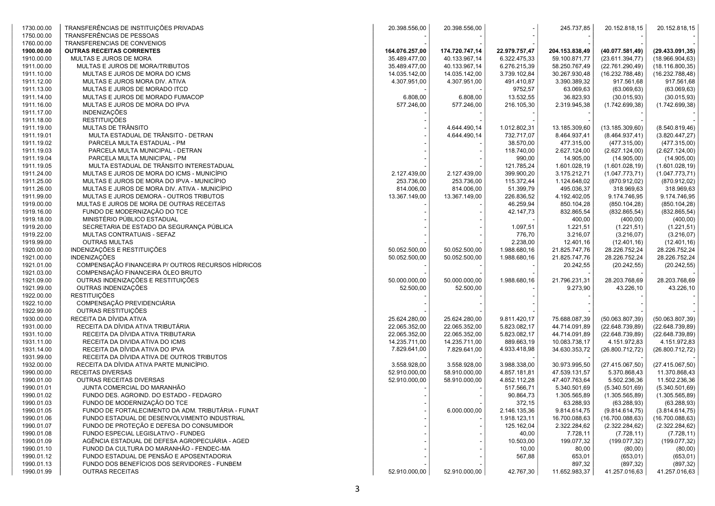| 1730.00.00               | TRANSFERÊNCIAS DE INSTITUIÇÕES PRIVADAS                     | 20.398.556,00                  | 20.398.556,00                  |                              | 245.737,85                     | 20.152.818,15                  | 20.152.818,15                  |
|--------------------------|-------------------------------------------------------------|--------------------------------|--------------------------------|------------------------------|--------------------------------|--------------------------------|--------------------------------|
| 1750.00.00               | TRANSFERÊNCIAS DE PESSOAS                                   |                                |                                |                              |                                |                                |                                |
| 1760.00.00               | TRANSFERENCIAS DE CONVENIOS                                 |                                |                                |                              |                                |                                |                                |
| 1900.00.00               | <b>OUTRAS RECEITAS CORRENTES</b>                            | 164.076.257,00                 | 174.720.747,14                 | 22.979.757,47                | 204.153.838,49                 | (40.077.581.49)                | (29.433.091.35)                |
| 1910.00.00               | MULTAS E JUROS DE MORA                                      | 35.489.477,00                  | 40.133.967,14                  | 6.322.475,33                 | 59.100.871,77                  | (23.611.394,77)                | (18.966.904, 63)               |
| 1911.00.00               | MULTAS E JUROS DE MORA/TRIBUTOS                             | 35.489.477,00                  | 40.133.967,14                  | 6.276.215,39                 | 58.250.767,49                  | (22.761.290,49)                | (18.116.800, 35)               |
| 1911.10.00               | MULTAS E JUROS DE MORA DO ICMS                              | 14.035.142,00                  | 14.035.142,00                  | 3.739.102,84                 | 30.267.930,48                  | (16.232.788,48)                | (16.232.788,48)                |
| 1911.12.00               | MULTAS E JUROS MORA DIV. ATIVA                              | 4.307.951,00                   | 4.307.951,00                   | 491.410.87                   | 3.390.389,32                   | 917.561,68                     | 917.561,68                     |
| 1911.13.00               | MULTAS E JUROS DE MORADO ITCD                               |                                |                                | 9752,57                      | 63.069,63                      | (63.069, 63)                   | (63.069, 63)                   |
| 1911.14.00               | MULTAS E JUROS DE MORADO FUMACOP                            | 6.808,00                       | 6.808,00                       | 13.532,55                    | 36.823,93                      | (30.015, 93)                   | (30.015, 93)                   |
| 1911.16.00               | MULTAS E JUROS DE MORA DO IPVA                              | 577.246,00                     | 577.246,00                     | 216.105,30                   | 2.319.945,38                   | (1.742.699, 38)                | (1.742.699, 38)                |
| 1911.17.00               | <b>INDENIZAÇÕES</b>                                         |                                |                                |                              |                                |                                |                                |
| 1911.18.00               | <b>RESTITUIÇÕES</b>                                         |                                |                                |                              |                                |                                |                                |
| 1911.19.00               | MULTAS DE TRÂNSITO                                          |                                | 4.644.490,14                   | 1.012.802,31                 | 13.185.309,60                  | (13.185.309,60)                | (8.540.819, 46)                |
| 1911.19.01               | MULTA ESTADUAL DE TRÂNSITO - DETRAN                         |                                | 4.644.490,14                   | 732.717,07                   | 8.464.937,41                   | (8.464.937, 41)                | (3.820.447, 27)                |
| 1911.19.02               | PARCELA MULTA ESTADUAL - PM                                 |                                |                                | 38.570,00                    | 477.315,00                     | (477.315,00)                   | (477.315,00)                   |
| 1911.19.03               | PARCELA MULTA MUNICIPAL - DETRAN                            |                                |                                | 118.740,00                   | 2.627.124,00                   | (2.627.124,00)                 | (2.627.124,00)                 |
| 1911.19.04               | PARCELA MULTA MUNICIPAL - PM                                |                                |                                | 990,00                       | 14.905,00                      | (14.905,00)                    | (14.905,00)                    |
| 1911.19.05               | MULTA ESTADUAL DE TRÂNSITO INTERESTADUAL                    |                                |                                | 121.785,24                   | 1.601.028,19                   | (1.601.028, 19)                | (1.601.028, 19)                |
| 1911.24.00               | MULTAS E JUROS DE MORA DO ICMS - MUNICÍPIO                  | 2.127.439,00                   | 2.127.439,00                   | 399.900,20                   | 3.175.212,71                   | (1.047.773,71)                 | (1.047.773,71)                 |
| 1911.25.00               | MULTAS E JUROS DE MORA DO IPVA - MUNICÍPIO                  | 253.736,00                     | 253.736,00                     | 115.372,44                   | 1.124.648,02                   | (870.912,02)                   | (870.912,02)                   |
| 1911.26.00               | MULTAS E JUROS DE MORA DIV. ATIVA - MUNICÍPIO               | 814.006,00                     | 814.006,00                     | 51.399,79                    | 495.036,37                     | 318.969,63                     | 318.969,63                     |
| 1911.99.00               | MULTAS E JUROS DEMORA - OUTROS TRIBUTOS                     | 13.367.149,00                  |                                | 226.836,52                   | 4.192.402,05                   | 9.174.746,95                   | 9.174.746,95                   |
| 1919.00.00               |                                                             |                                | 13.367.149,00                  | 46.259,94                    |                                | (850.104, 28)                  |                                |
|                          | MULTAS E JUROS DE MORA DE OUTRAS RECEITAS                   |                                |                                |                              | 850.104,28                     | (832.865, 54)                  | (850.104, 28)                  |
| 1919.16.00               | FUNDO DE MODERNIZAÇÃO DO TCE<br>MINISTÉRIO PÚBLICO ESTADUAL |                                |                                | 42.147,73                    | 832.865,54                     |                                | (832.865, 54)                  |
| 1919.18.00               | SECRETARIA DE ESTADO DA SEGURANÇA PÚBLICA                   |                                |                                |                              | 400,00                         | (400,00)                       | (400,00)                       |
| 1919.20.00               | MULTAS CONTRATUAIS - SEFAZ                                  |                                |                                | 1.097,51                     | 1.221,51                       | (1.221, 51)                    | (1.221, 51)                    |
| 1919.22.00<br>1919.99.00 | <b>OUTRAS MULTAS</b>                                        |                                |                                | 776,70<br>2.238,00           | 3.216,07                       | (3.216, 07)                    | (3.216, 07)                    |
|                          | INDENIZAÇÕES E RESTITUIÇÕES                                 |                                |                                |                              | 12.401,16                      | (12.401, 16)                   | (12.401, 16)                   |
| 1920.00.00<br>1921.00.00 | <b>INDENIZAÇÕES</b>                                         | 50.052.500,00<br>50.052.500,00 | 50.052.500,00<br>50.052.500,00 | 1.988.680,16<br>1.988.680,16 | 21.825.747,76<br>21.825.747,76 | 28.226.752,24<br>28.226.752,24 | 28.226.752,24<br>28.226.752,24 |
| 1921.01.00               | COMPENSAÇÃO FINANCEIRA P/ OUTROS RECURSOS HÍDRICOS          |                                |                                |                              | 20.242,55                      |                                | (20.242, 55)                   |
| 1921.03.00               | COMPENSAÇÃO FINANCEIRA ÓLEO BRUTO                           |                                |                                |                              |                                | (20.242, 55)                   |                                |
| 1921.09.00               | OUTRAS INDENIZAÇÕES E RESTITUIÇÕES                          | 50.000.000,00                  | 50.000.000,00                  | 1.988.680,16                 | 21.796.231,31                  | 28.203.768,69                  | 28.203.768,69                  |
| 1921.99.00               | OUTRAS INDENIZAÇÕES                                         | 52.500,00                      | 52.500,00                      |                              | 9.273,90                       | 43.226,10                      | 43.226,10                      |
| 1922.00.00               | <b>RESTITUIÇÕES</b>                                         |                                |                                |                              |                                |                                |                                |
| 1922.10.00               | COMPENSAÇÃO PREVIDENCIÁRIA                                  |                                |                                |                              |                                |                                |                                |
| 1922.99.00               | OUTRAS RESTITUIÇÕES                                         |                                |                                |                              |                                |                                |                                |
| 1930.00.00               | RECEITA DA DÍVIDA ATIVA                                     | 25.624.280,00                  | 25.624.280,00                  | 9.811.420,17                 | 75.688.087,39                  | (50.063.807, 39)               | (50.063.807, 39)               |
| 1931.00.00               | RECEITA DA DÍVIDA ATIVA TRIBUTÁRIA                          | 22.065.352,00                  | 22.065.352,00                  | 5.823.082,17                 | 44.714.091,89                  | (22.648.739,89)                | (22.648.739, 89)               |
| 1931.10.00               | RECEITA DA DÍVIDA ATIVA TRIBUTARIA                          | 22.065.352,00                  | 22.065.352,00                  | 5.823.082,17                 | 44.714.091,89                  | (22.648.739,89)                | (22.648.739, 89)               |
| 1931.11.00               | RECEITA DA DIVIDA ATIVA DO ICMS                             | 14.235.711,00                  | 14.235.711,00                  | 889.663,19                   | 10.083.738,17                  | 4.151.972,83                   | 4.151.972,83                   |
| 1931.14.00               | RECEITA DA DÍVIDA ATIVA DO IPVA                             | 7.829.641,00                   | 7.829.641,00                   | 4.933.418,98                 | 34.630.353,72                  | (26.800.712, 72)               | (26.800.712, 72)               |
| 1931.99.00               | RECEITA DA DÍVIDA ATIVA DE OUTROS TRIBUTOS                  |                                |                                |                              |                                |                                |                                |
| 1932.00.00               | RECEITA DA DÍVIDA ATIVA PARTE MUNICÍPIO.                    | 3.558.928,00                   | 3.558.928,00                   | 3.988.338,00                 | 30.973.995,50                  | (27.415.067, 50)               | (27.415.067, 50)               |
| 1990.00.00               | <b>RECEITAS DIVERSAS</b>                                    | 52.910.000,00                  | 58.910.000,00                  | 4.857.181,81                 | 47.539.131,57                  | 5.370.868,43                   | 11.370.868,43                  |
| 1990.01.00               | OUTRAS RECEITAS DIVERSAS                                    | 52.910.000,00                  | 58.910.000,00                  | 4.852.112,28                 | 47.407.763,64                  | 5.502.236,36                   | 11.502.236,36                  |
| 1990.01.01               | JUNTA COMERCIAL DO MARANHÃO                                 |                                |                                | 517.566,71                   | 5.340.501,69                   | (5.340.501,69)                 | (5.340.501,69)                 |
| 1990.01.02               | FUNDO DES. AGROIND. DO ESTADO - FEDAGRO                     |                                |                                | 90.864,73                    | 1.305.565,89                   | (1.305.565, 89)                | (1.305.565, 89)                |
| 1990.01.03               | FUNDO DE MODERNIZAÇÃO DO TCE                                |                                |                                | 372,15                       | 63.288,93                      | (63.288, 93)                   | (63.288, 93)                   |
| 1990.01.05               | FUNDO DE FORTALECIMENTO DA ADM. TRIBUTÁRIA - FUNAT          |                                | 6.000.000,00                   | 2.146.135,36                 | 9.814.614,75                   | (9.814.614,75)                 | (3.814.614,75)                 |
| 1990.01.06               | FUNDO ESTADUAL DE DESENVOLVIMENTO INDUSTRIAL                |                                |                                | 1.918.123,11                 | 16.700.088,63                  | (16.700.088, 63)               | (16.700.088, 63)               |
| 1990.01.07               | FUNDO DE PROTEÇÃO E DEFESA DO CONSUMIDOR                    |                                |                                | 125.162,04                   | 2.322.284,62                   | (2.322.284, 62)                | (2.322.284, 62)                |
| 1990.01.08               | FUNDO ESPECIAL LEGISLATIVO - FUNDEG                         |                                |                                | 40,00                        | 7.728,11                       | (7.728, 11)                    | (7.728, 11)                    |
| 1990.01.09               | AGÊNCIA ESTADUAL DE DEFESA AGROPECUÁRIA - AGED              |                                |                                | 10.503,00                    | 199.077,32                     | (199.077, 32)                  | (199.077.32)                   |
| 1990.01.10               | FUNOD DA CULTURA DO MARANHÃO - FENDEC-MA                    |                                |                                | 10,00                        | 80,00                          | (80,00)                        | (80,00)                        |
| 1990.01.12               | FUNDO ESTADUAL DE PENSÃO E APOSENTADORIA                    |                                |                                | 567,88                       | 653,01                         | (653, 01)                      | (653, 01)                      |
| 1990.01.13               | FUNDO DOS BENEFÍCIOS DOS SERVIDORES - FUNBEM                |                                |                                |                              | 897,32                         | (897, 32)                      | (897, 32)                      |
| 1990.01.99               | <b>OUTRAS RECEITAS</b>                                      | 52.910.000,00                  | 52.910.000,00                  | 42.767,30                    | 11.652.983,37                  | 41.257.016,63                  | 41.257.016,63                  |
|                          |                                                             |                                |                                |                              |                                |                                |                                |